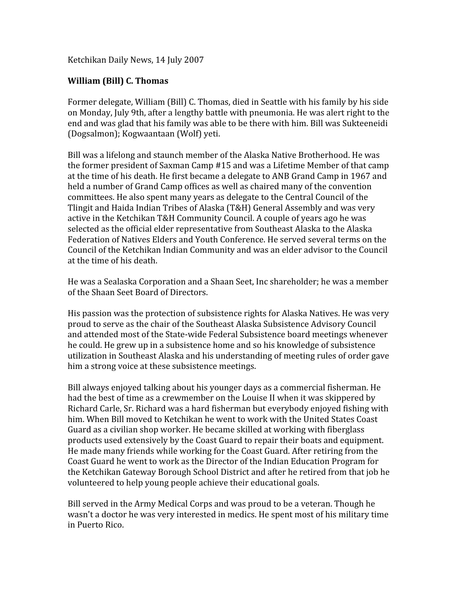Ketchikan
Daily
News,
14
July
2007

## **William
(Bill)
C.
Thomas**

Former delegate, William (Bill) C. Thomas, died in Seattle with his family by his side on
Monday,
July
9th,
after
a
lengthy
battle
with
pneumonia.
He
was
alert
right
to
the end
and
was
glad
that
his
family
was
able
to
be
there
with
him.
Bill
was
Sukteeneidi (Dogsalmon);
Kogwaantaan
(Wolf)
yeti.

Bill was a lifelong and staunch member of the Alaska Native Brotherhood. He was the
former
president
of
Saxman
Camp
#15
and
was
a
Lifetime
Member
of
that
camp at the time of his death. He first became a delegate to ANB Grand Camp in 1967 and held a number of Grand Camp offices as well as chaired many of the convention committees.
He
also
spent
many
years
as
delegate
to
the
Central
Council
of
the Tlingit and Haida Indian Tribes of Alaska (T&H) General Assembly and was very active in the Ketchikan T&H Community Council. A couple of years ago he was selected as the official elder representative from Southeast Alaska to the Alaska Federation of Natives Elders and Youth Conference. He served several terms on the Council of the Ketchikan Indian Community and was an elder advisor to the Council at
the
time
of
his
death.

He
was
a
Sealaska
Corporation
and
a
Shaan
Seet,
Inc
shareholder;
he
was
a
member of
the
Shaan
Seet
Board
of
Directors.

His
passion
was
the
protection
of
subsistence
rights
for
Alaska
Natives.
He
was
very proud
to
serve
as
the
chair
of
the
Southeast
Alaska
Subsistence
Advisory
Council and
attended
most
of
the
State‐wide
Federal
Subsistence
board
meetings
whenever he
could.
He
grew
up
in
a
subsistence
home
and
so
his
knowledge
of
subsistence utilization in Southeast Alaska and his understanding of meeting rules of order gave him
a
strong
voice
at
these
subsistence
meetings.

Bill
always
enjoyed
talking
about
his
younger
days
as
a
commercial
fisherman.
He had
the
best
of
time
as
a
crewmember
on
the
Louise
II
when
it
was
skippered
by Richard Carle, Sr. Richard was a hard fisherman but everybody enjoyed fishing with him. When Bill moved to Ketchikan he went to work with the United States Coast Guard
as
a
civilian
shop
worker.
He
became
skilled
at
working
with
fiberglass products
used
extensively
by
the
Coast
Guard
to
repair
their
boats
and
equipment. He
made
many
friends
while
working
for
the
Coast
Guard.
After
retiring
from
the Coast
Guard
he
went
to
work
as
the
Director
of
the
Indian
Education
Program
for the Ketchikan Gateway Borough School District and after he retired from that iob he volunteered
to
help
young
people
achieve
their
educational
goals.

Bill
served
in
the
Army
Medical
Corps
and
was
proud
to
be
a
veteran.
Though
he wasn't a doctor he was very interested in medics. He spent most of his military time in
Puerto
Rico.